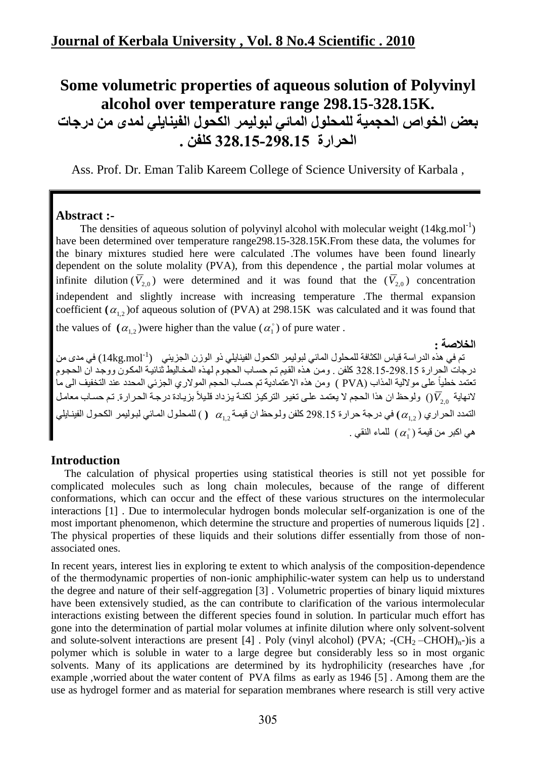# **Some volumetric properties of aqueous solution of Polyvinyl alcohol over temperature range 298.15-328.15K. بعض الخواص الحجميت للمحلول المائي لبوليمر الكحول الفينايلي لمذى من درجاث الحرارة 55.892-51.892 كلفن 8**

Ass. Prof. Dr. Eman Talib Kareem College of Science University of Karbala ,

### **Abstract :-**

The densities of aqueous solution of polyvinyl alcohol with molecular weight  $(14kg$ .mol<sup>-1</sup>) have been determined over temperature range298.15-328.15K.From these data, the volumes for the binary mixtures studied here were calculated .The volumes have been found linearly dependent on the solute molality (PVA), from this dependence , the partial molar volumes at infinite dilution  $(V_{2,0})$  were determined and it was found that the  $(V_{2,0})$  concentration independent and slightly increase with increasing temperature .The thermal expansion coefficient  $(\alpha_{1,2})$  of aqueous solution of (PVA) at 298.15K was calculated and it was found that the values of  $(\alpha_{1,2})$  were higher than the value  $(\alpha_1)$  of pure water.

#### **الخالصت :**

تم في هذه الدراسة قياس الكثافة للمحلول المائي لبوليمر الكحول الفينايلي ذو الوزن الجزيئي ('14kg.mol') في مدى من درجات الحرارة 55.998.15-298 كلفنٍ ومن هذه القيم تم حساب الحجوم لهذه المخاليط ثنائية المكون ووجد ان الحجوم تعتمد خطياً على مولالية المذاب (PVA ) ومن هذه الاعتمادية تم حساب الحجم المولاري الجزئي المحدد عند التخفيف الى ما لانهاية <sub>()</sub> ولوحظ ان هذا الحجم لا يعتمد على تغير التركيز لكنـة يزداد قليلاً بزيـادة درجـة الحر ارـة<sub>.</sub> تم حسـاب معامـل التمدد الحراري ( $\alpha_{_{1,2}}$ ) في درجة حرارة 298.15 كلفن ولوحظ ان قيمـة  $\alpha_{_{1,2}}$  ( ) للمحلول المـائي لبوليمر الكحول الفينـايلي هي اكبر من قيمة ( $\alpha_{1}^{\circ}$  ) للماء النقي .

## **Introduction**

 The calculation of physical properties using statistical theories is still not yet possible for complicated molecules such as long chain molecules, because of the range of different conformations, which can occur and the effect of these various structures on the intermolecular interactions [1] . Due to intermolecular hydrogen bonds molecular self-organization is one of the most important phenomenon, which determine the structure and properties of numerous liquids [2] . The physical properties of these liquids and their solutions differ essentially from those of nonassociated ones.

In recent years, interest lies in exploring te extent to which analysis of the composition-dependence of the thermodynamic properties of non-ionic amphiphilic-water system can help us to understand the degree and nature of their self-aggregation [3] . Volumetric properties of binary liquid mixtures have been extensively studied, as the can contribute to clarification of the various intermolecular interactions existing between the different species found in solution. In particular much effort has gone into the determination of partial molar volumes at infinite dilution where only solvent-solvent and solute-solvent interactions are present [4]. Poly (vinyl alcohol) (PVA;  $-(CH_2-CHOH)_{n}$ -)is a polymer which is soluble in water to a large degree but considerably less so in most organic solvents. Many of its applications are determined by its hydrophilicity (researches have ,for example ,worried about the water content of PVA films as early as 1946 [5] . Among them are the use as hydrogel former and as material for separation membranes where research is still very active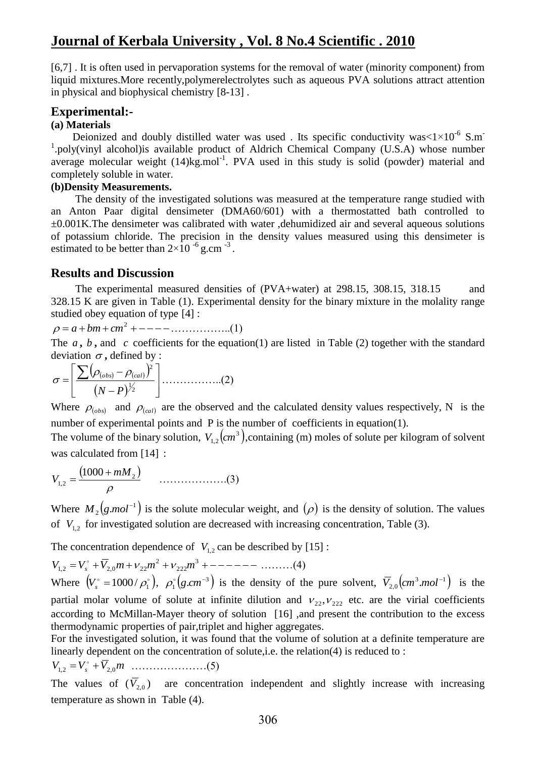[6,7] . It is often used in pervaporation systems for the removal of water (minority component) from liquid mixtures.More recently,polymerelectrolytes such as aqueous PVA solutions attract attention in physical and biophysical chemistry [8-13] .

### **Experimental:-**

#### **(a) Materials**

Deionized and doubly distilled water was used . Its specific conductivity was $< 1 \times 10^{-6}$  S.m<sup>-</sup> <sup>1</sup>.poly(vinyl alcohol)is available product of Aldrich Chemical Company (U.S.A) whose number average molecular weight (14)kg.mol<sup>-1</sup>. PVA used in this study is solid (powder) material and completely soluble in water.

#### **(b)Density Measurements.**

 The density of the investigated solutions was measured at the temperature range studied with an Anton Paar digital densimeter (DMA60/601) with a thermostatted bath controlled to  $\pm 0.001$ K.The densimeter was calibrated with water ,dehumidized air and several aqueous solutions of potassium chloride. The precision in the density values measured using this densimeter is estimated to be better than  $2\times10^{-6}$  g.cm<sup>-3</sup>.

### **Results and Discussion**

 The experimental measured densities of (PVA+water) at 298.15, 308.15, 318.15 and 328.15 K are given in Table (1). Experimental density for the binary mixture in the molality range studied obey equation of type [4] :

$$
\rho = a + bm + cm^2 + - - - - \dots \dots \dots \dots \dots \dots (1)
$$

The  $a, b$ , and  $c$  coefficients for the equation(1) are listed in Table (2) together with the standard deviation  $\sigma$ , defined by :

$$
\sigma = \left[ \frac{\sum (\rho_{(obs)} - \rho_{(cal)})^2}{(N - P)^{\frac{1}{2}}} \right] \dots (2)
$$

Where  $\rho_{(obs)}$  and  $\rho_{(cal)}$  are the observed and the calculated density values respectively, N is the number of experimental points and P is the number of coefficients in equation(1).

The volume of the binary solution,  $V_{1,2}(cm^3)$ , containing (m) moles of solute per kilogram of solvent was calculated from [14] :

$$
V_{1,2} = \frac{(1000 + mM_2)}{\rho} \qquad \qquad (3)
$$

Where  $M_2(g \text{.} mol^{-1})$  $M_2(g \text{.} mol^{-1})$  is the solute molecular weight, and  $(\rho)$  is the density of solution. The values of  $V_{1,2}$  for investigated solution are decreased with increasing concentration, Table (3).

The concentration dependence of  $V_{1,2}$  can be described by [15]:

$$
V_{1,2} = V_s^{\circ} + \overline{V}_{2,0}m + \nu_{22}m^2 + \nu_{222}m^3 + \cdots - \cdots \tag{4}
$$

Where  $(V_s^{\circ} = 1000 / \rho_1^{\circ}), \rho_1^{\circ} (g.cm^{-3})$  $\rho_1^{\circ} (g.cm^{-3})$  is the density of the pure solvent,  $\overline{V}_{2,0}(cm^3.mol^{-1})$  $\overline{V}_{2,0}(cm^3.mol^{-1})$  is the partial molar volume of solute at infinite dilution and  $v_{22}, v_{222}$  etc. are the virial coefficients according to McMillan-Mayer theory of solution [16] ,and present the contribution to the excess thermodynamic properties of pair,triplet and higher aggregates.

For the investigated solution, it was found that the volume of solution at a definite temperature are linearly dependent on the concentration of solute,i.e. the relation(4) is reduced to :

*V*1,2 *V<sup>s</sup> V*2,0*m* …………………(5)

The values of  $(\overline{V}_{2,0})$  are concentration independent and slightly increase with increasing temperature as shown in Table (4).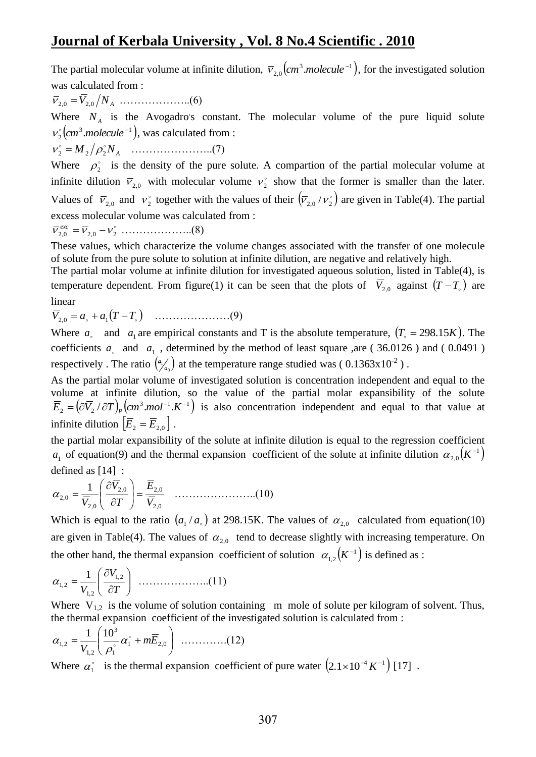The partial molecular volume at infinite dilution,  $\bar{v}_{20}$   $\left(\text{cm}^3\text{.}molecule^{-1}\right)$ .  $\overline{v}_{2,0}$  (*cm*<sup>3</sup> *molecule*<sup>-1</sup>), for the investigated solution was calculated from :

2,0 *V*2,0 *N<sup>A</sup>* ………………..(6)

Where  $N_A$  is the Avogadro's constant. The molecular volume of the pure liquid solute  $(cm<sup>3</sup>.molecule <sup>-1</sup>),$  $v_2^{\circ}$ (*cm*<sup>3</sup> *molecule*<sup>-1</sup>), was calculated from :

 $v_2^{\circ} = M_2 / \rho_2^{\circ} N_A$  ……………………...(7)

Where  $\rho_2^{\circ}$  is the density of the pure solute. A compartion of the partial molecular volume at infinite dilution  $\bar{v}_{2,0}$  with molecular volume  $v_2^{\circ}$  show that the former is smaller than the later. Values of  $\overline{v}_{2,0}$  and  $v_2$  together with the values of their  $(\overline{v}_{2,0}/v_2)$  are given in Table(4). The partial excess molecular volume was calculated from :

 2,0 2,0 <sup>2</sup> *exc* ………………..(8)

These values, which characterize the volume changes associated with the transfer of one molecule of solute from the pure solute to solution at infinite dilution, are negative and relatively high.

The partial molar volume at infinite dilution for investigated aqueous solution, listed in Table(4), is temperature dependent. From figure(1) it can be seen that the plots of  $\overline{V}_{2,0}$  against  $(T-T_0)$  are linear

*V*2,0 *a a*<sup>1</sup> *T T* …………………(9)

Where  $a_{\text{a}}$  and  $a_1$  are empirical constants and T is the absolute temperature,  $(T_{\text{a}} = 298.15K)$ . The coefficients  $a_{\text{a}}$  and  $a_1$ , determined by the method of least square ,are (36.0126) and (0.0491) respectively . The ratio  $\binom{a_1}{a_0}$  at the temperature range studied was (0.1363x10<sup>-2</sup>).

As the partial molar volume of investigated solution is concentration independent and equal to the volume at infinite dilution, so the value of the partial molar expansibility of the solute  $(\partial \overline{V}_2 / \partial T)_p$   $(cm^3.mol^{-1}.K^{-1})$  $\overline{E}_2 = (\partial \overline{V}_2 / \partial T)_P$  (cm<sup>3</sup>.mol<sup>-1</sup>.K<sup>-1</sup>) is also concentration independent and equal to that value at infinite dilution  $\left[\overline{E}_2 = \overline{E}_{2,0}\right]$ .

the partial molar expansibility of the solute at infinite dilution is equal to the regression coefficient  $a_1$  of equation(9) and the thermal expansion coefficient of the solute at infinite dilution  $\alpha_{2,0}(K^{-1})$  $\alpha_{2,0}(K^-)$ defined as [14] :

2,0 2,0 2,0 2,0 2,0 1 *V E T V V* …………………..(10)

Which is equal to the ratio  $(a_1/a_0)$  at 298.15K. The values of  $\alpha_{2,0}$  calculated from equation(10) are given in Table(4). The values of  $\alpha_{2,0}$  tend to decrease slightly with increasing temperature. On the other hand, the thermal expansion coefficient of solution  $\alpha_1(x^{-1})$  $\alpha_{1,2}(K^{-1})$  is defined as :

 *T V V* 1,2 1,2 1,2 1 ………………..(11)

Where  $V_{1,2}$  is the volume of solution containing m mole of solute per kilogram of solvent. Thus, the thermal expansion coefficient of the investigated solution is calculated from :

$$
\alpha_{1,2} = \frac{1}{V_{1,2}} \left( \frac{10^3}{\rho_1^{\circ}} \alpha_1^{\circ} + m \overline{E}_{2,0} \right) \ \dots \dots \dots \dots (12)
$$

Where  $\alpha_1^{\circ}$  is the thermal expansion coefficient of pure water  $(2.1 \times 10^{-4} K^{-1})$  [17].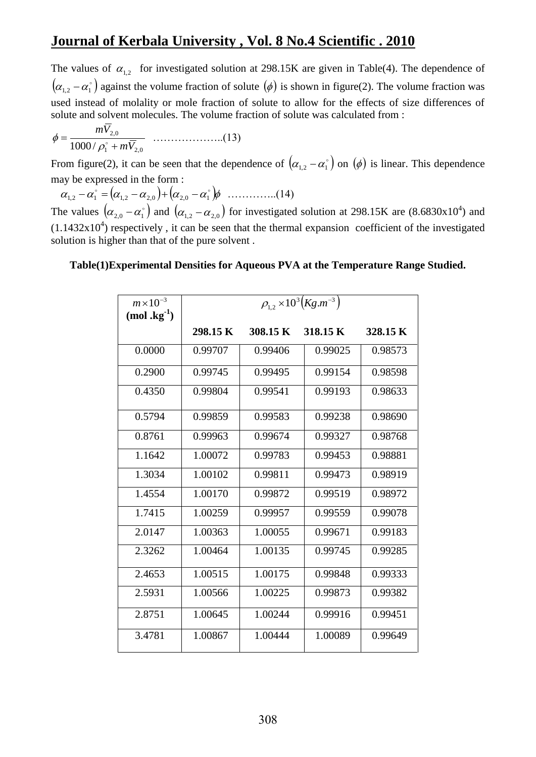The values of  $\alpha_{1,2}$  for investigated solution at 298.15K are given in Table(4). The dependence of  $(\alpha_{1,2} - \alpha_1)$  against the volume fraction of solute  $(\phi)$  is shown in figure(2). The volume fraction was used instead of molality or mole fraction of solute to allow for the effects of size differences of solute and solvent molecules. The volume fraction of solute was calculated from :

1 2,0 2,0 1000 / *mV mV* ………………..(13)

From figure(2), it can be seen that the dependence of  $(\alpha_{1,2} - \alpha_1)$  on  $(\phi)$  is linear. This dependence may be expressed in the form :

1,2 <sup>1</sup> 1,2 2,0 2,0 <sup>1</sup> …………..(14)

The values  $(\alpha_{2,0} - \alpha_1)$  and  $(\alpha_{1,2} - \alpha_{2,0})$  for investigated solution at 298.15K are (8.6830x10<sup>4</sup>) and  $(1.1432x10<sup>4</sup>)$  respectively, it can be seen that the thermal expansion coefficient of the investigated solution is higher than that of the pure solvent .

#### **Table(1)Experimental Densities for Aqueous PVA at the Temperature Range Studied.**

| $m\times10^{-3}$<br>$(mod \, \, \text{kg}^{-1})$ | $\rho_{1,2}$ × 10 <sup>3</sup> ( <i>Kg.m</i> <sup>-3</sup> ) |          |          |          |
|--------------------------------------------------|--------------------------------------------------------------|----------|----------|----------|
|                                                  | 298.15 K                                                     | 308.15 K | 318.15 K | 328.15 K |
| 0.0000                                           | 0.99707                                                      | 0.99406  | 0.99025  | 0.98573  |
| 0.2900                                           | 0.99745                                                      | 0.99495  | 0.99154  | 0.98598  |
| 0.4350                                           | 0.99804                                                      | 0.99541  | 0.99193  | 0.98633  |
| 0.5794                                           | 0.99859                                                      | 0.99583  | 0.99238  | 0.98690  |
| 0.8761                                           | 0.99963                                                      | 0.99674  | 0.99327  | 0.98768  |
| 1.1642                                           | 1.00072                                                      | 0.99783  | 0.99453  | 0.98881  |
| 1.3034                                           | 1.00102                                                      | 0.99811  | 0.99473  | 0.98919  |
| 1.4554                                           | 1.00170                                                      | 0.99872  | 0.99519  | 0.98972  |
| 1.7415                                           | 1.00259                                                      | 0.99957  | 0.99559  | 0.99078  |
| 2.0147                                           | 1.00363                                                      | 1.00055  | 0.99671  | 0.99183  |
| 2.3262                                           | 1.00464                                                      | 1.00135  | 0.99745  | 0.99285  |
| 2.4653                                           | 1.00515                                                      | 1.00175  | 0.99848  | 0.99333  |
| 2.5931                                           | 1.00566                                                      | 1.00225  | 0.99873  | 0.99382  |
| 2.8751                                           | 1.00645                                                      | 1.00244  | 0.99916  | 0.99451  |
| 3.4781                                           | 1.00867                                                      | 1.00444  | 1.00089  | 0.99649  |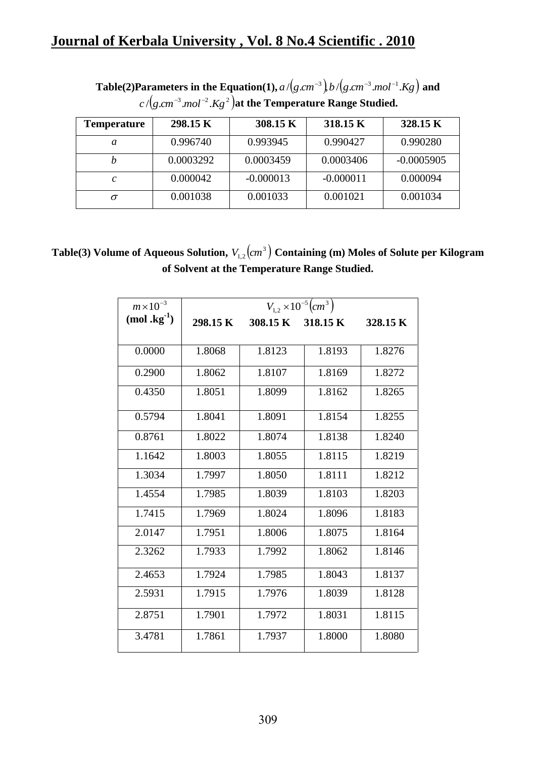| Temperature   | 298.15 K  | 308.15 K    | 318.15 K    | 328.15 K     |
|---------------|-----------|-------------|-------------|--------------|
| a             | 0.996740  | 0.993945    | 0.990427    | 0.990280     |
|               | 0.0003292 | 0.0003459   | 0.0003406   | $-0.0005905$ |
| $\mathcal{C}$ | 0.000042  | $-0.000013$ | $-0.000011$ | 0.000094     |
|               | 0.001038  | 0.001033    | 0.001021    | 0.001034     |

**Table(2)Parameters in the Equation(1),**  $a/(g.cm^{-3})b/(g.cm^{-3}.mol^{-1}.Kg)$  and  $c$  /( $g.cm^{-3}.mol^{-2}.Kg$   $^2$  )at the Temperature Range Studied.

Table(3) Volume of Aqueous Solution,  $V_{1,2} (cm^3)$  Containing (m) Moles of Solute per Kilogram **of Solvent at the Temperature Range Studied.**

| $m \times 10^{-3}$ | $V_{1,2} \times 10^{-5}$ (cm <sup>3</sup> ) |        |                   |          |
|--------------------|---------------------------------------------|--------|-------------------|----------|
| $(mod kg-1)$       | 298.15 K                                    |        | 308.15 K 318.15 K | 328.15 K |
|                    |                                             |        |                   |          |
| 0.0000             | 1.8068                                      | 1.8123 | 1.8193            | 1.8276   |
| 0.2900             | 1.8062                                      | 1.8107 | 1.8169            | 1.8272   |
| 0.4350             | 1.8051                                      | 1.8099 | 1.8162            | 1.8265   |
| 0.5794             | 1.8041                                      | 1.8091 | 1.8154            | 1.8255   |
| 0.8761             | 1.8022                                      | 1.8074 | 1.8138            | 1.8240   |
| 1.1642             | 1.8003                                      | 1.8055 | 1.8115            | 1.8219   |
| 1.3034             | 1.7997                                      | 1.8050 | 1.8111            | 1.8212   |
| 1.4554             | 1.7985                                      | 1.8039 | 1.8103            | 1.8203   |
| 1.7415             | 1.7969                                      | 1.8024 | 1.8096            | 1.8183   |
| 2.0147             | 1.7951                                      | 1.8006 | 1.8075            | 1.8164   |
| 2.3262             | 1.7933                                      | 1.7992 | 1.8062            | 1.8146   |
| 2.4653             | 1.7924                                      | 1.7985 | 1.8043            | 1.8137   |
| 2.5931             | 1.7915                                      | 1.7976 | 1.8039            | 1.8128   |
| 2.8751             | 1.7901                                      | 1.7972 | 1.8031            | 1.8115   |
| 3.4781             | 1.7861                                      | 1.7937 | 1.8000            | 1.8080   |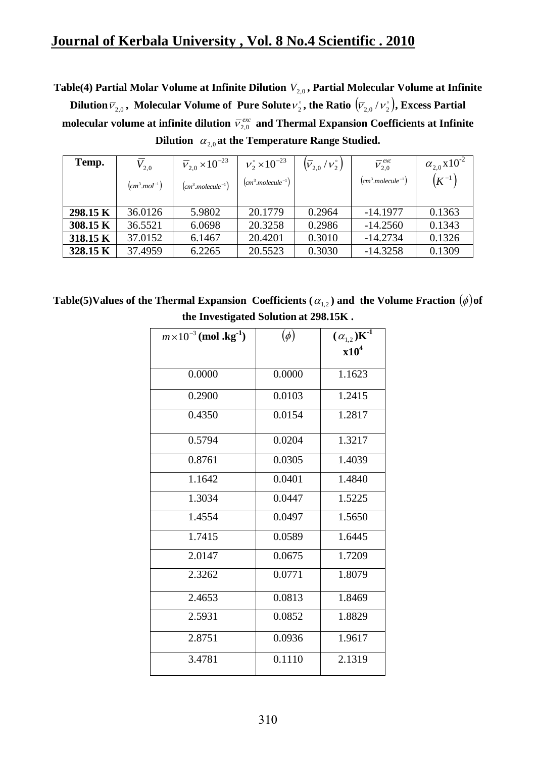Table(4) Partial Molar Volume at Infinite Dilution  $\overline{V}_{2,0}$  , Partial Molecular Volume at Infinite

Dilution  $\overline{V}_{2,0}$  , Molecular Volume of Pure Solute  $v_2^{\circ}$  , the Ratio  $\left(\overline{V}_{2,0}/v_2^{\circ}\right)$ , Excess Partial molecular volume at infinite dilution  $\bar{v}_{2,0}^{\text{exc}}$  and Thermal Expansion Coefficients at Infinite Dilution  $\alpha_{2,0}$  at the Temperature Range Studied.

| Temp.    | $V_{2,0}$<br>$(cm3.mol-1)$ | $\bar{v}_{2,0}$ × 10 <sup>-23</sup><br>$(cm3 molecule-1)$ | $v_2^{\circ} \times 10^{-23}$<br>$(cm3 molecule-1)$ | $\left(\bar{V}_{2,0}/\nu_2^{\circ}\right)$ | $\bar{V}_{2,0}^{exc}$<br>$(cm3 molecule-1)$ | $\alpha_{2.0}$ x 10 <sup>-2</sup><br>$(K^{-1})$ |
|----------|----------------------------|-----------------------------------------------------------|-----------------------------------------------------|--------------------------------------------|---------------------------------------------|-------------------------------------------------|
| 298.15 K | 36.0126                    | 5.9802                                                    | 20.1779                                             | 0.2964                                     | $-14.1977$                                  | 0.1363                                          |
| 308.15 K | 36.5521                    | 6.0698                                                    | 20.3258                                             | 0.2986                                     | $-14.2560$                                  | 0.1343                                          |
| 318.15 K | 37.0152                    | 6.1467                                                    | 20.4201                                             | 0.3010                                     | $-14.2734$                                  | 0.1326                                          |
| 328.15 K | 37.4959                    | 6.2265                                                    | 20.5523                                             | 0.3030                                     | $-14.3258$                                  | 0.1309                                          |

Table(5)Values of the Thermal Expansion Coefficients (  $\alpha_{_{1,2}}$  ) and the Volume Fraction  $(\phi)$ of **the Investigated Solution at 298.15K .**

| $m \times 10^{-3}$ (mol.kg <sup>-1</sup> ) | $(\phi)$ | $(\alpha_{1,2})\overline{K^{\text{-}1}}$ |
|--------------------------------------------|----------|------------------------------------------|
|                                            |          | x10 <sup>4</sup>                         |
| 0.0000                                     | 0.0000   | 1.1623                                   |
| 0.2900                                     | 0.0103   | 1.2415                                   |
| 0.4350                                     | 0.0154   | 1.2817                                   |
| 0.5794                                     | 0.0204   | 1.3217                                   |
| 0.8761                                     | 0.0305   | 1.4039                                   |
| 1.1642                                     | 0.0401   | 1.4840                                   |
| 1.3034                                     | 0.0447   | 1.5225                                   |
| 1.4554                                     | 0.0497   | 1.5650                                   |
| 1.7415                                     | 0.0589   | 1.6445                                   |
| 2.0147                                     | 0.0675   | 1.7209                                   |
| 2.3262                                     | 0.0771   | 1.8079                                   |
| 2.4653                                     | 0.0813   | 1.8469                                   |
| 2.5931                                     | 0.0852   | 1.8829                                   |
| 2.8751                                     | 0.0936   | 1.9617                                   |
| 3.4781                                     | 0.1110   | 2.1319                                   |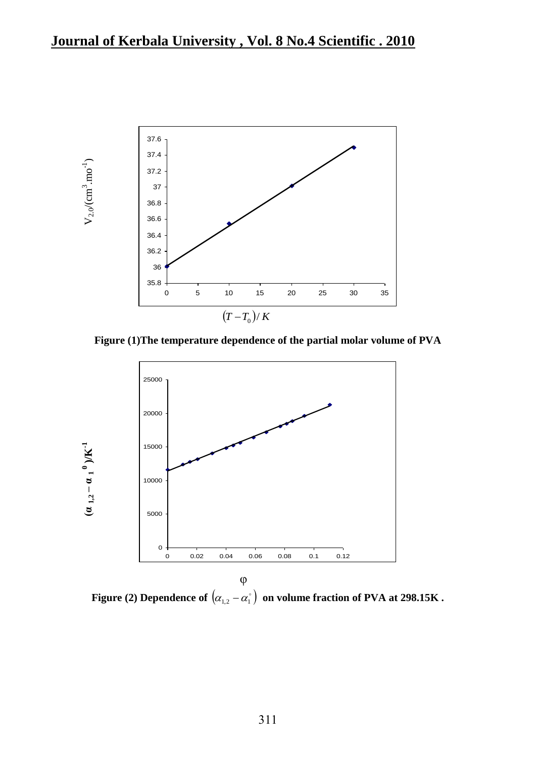

**Figure (1)The temperature dependence of the partial molar volume of PVA**



Figure (2) Dependence of  $\big(\alpha_{_{1,2}}-\alpha_{_{1}}^{^\circ}\big)$  on volume fraction of PVA at 298.15K .